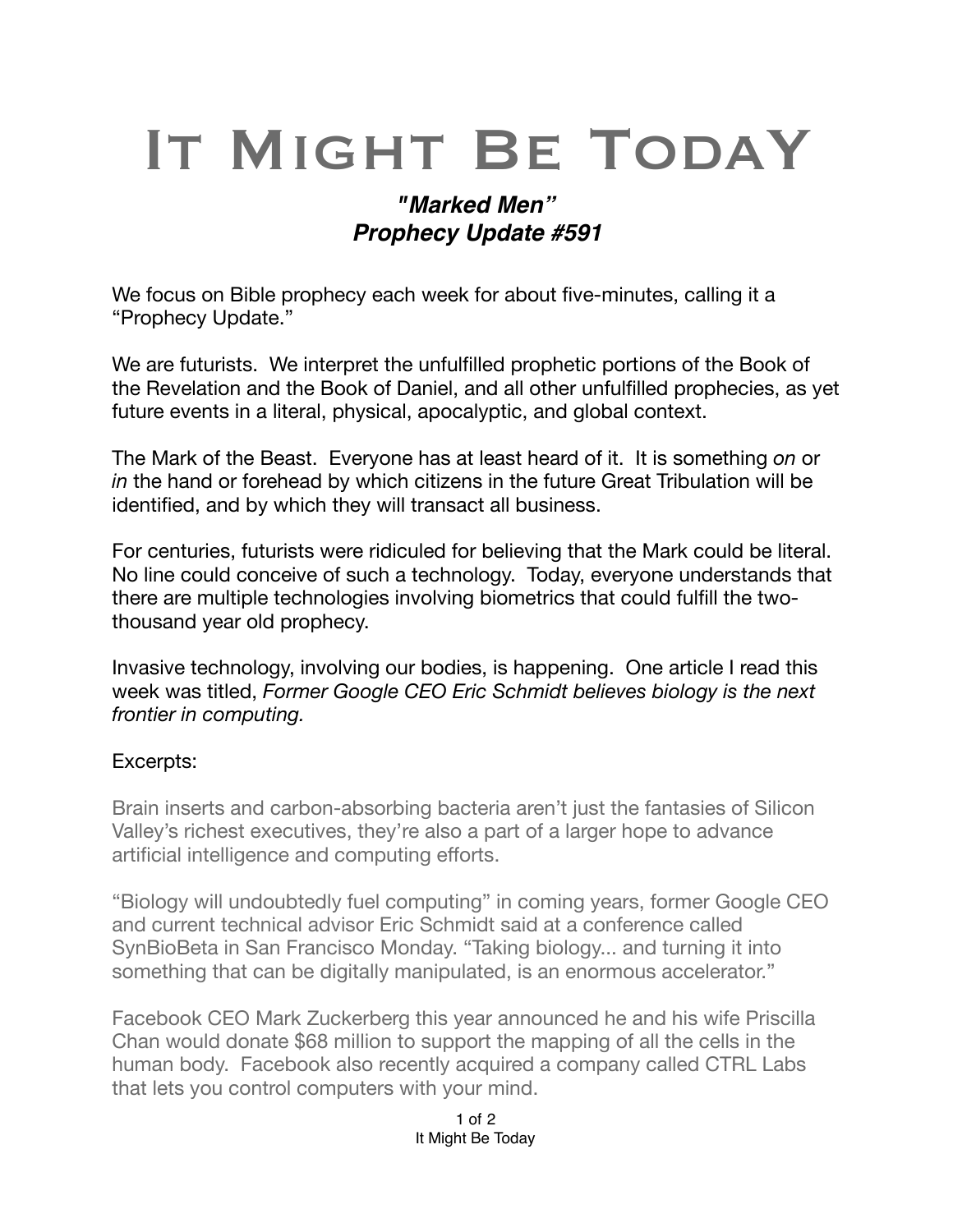# IT MIGHT BE TODAY

# *"Marked Men" Prophecy Update #591*

We focus on Bible prophecy each week for about five-minutes, calling it a "Prophecy Update."

We are futurists. We interpret the unfulfilled prophetic portions of the Book of the Revelation and the Book of Daniel, and all other unfulfilled prophecies, as yet future events in a literal, physical, [apocalyptic,](https://en.m.wikipedia.org/wiki/Apocalypticism) and global context.

The Mark of the Beast. Everyone has at least heard of it. It is something *on* or *in* the hand or forehead by which citizens in the future Great Tribulation will be identified, and by which they will transact all business.

For centuries, futurists were ridiculed for believing that the Mark could be literal. No line could conceive of such a technology. Today, everyone understands that there are multiple technologies involving biometrics that could fulfill the twothousand year old prophecy.

Invasive technology, involving our bodies, is happening. One article I read this week was titled, *Former Google CEO Eric Schmidt believes biology is the next frontier in computing.*

#### Excerpts:

Brain inserts and carbon-absorbing bacteria aren't just the fantasies of Silicon Valley's richest executives, they're also a part of a larger hope to advance artificial intelligence and computing efforts.

"Biology will undoubtedly fuel computing" in coming years, former [Google](https://www.cnbc.com/quotes/?symbol=GOOGL) CEO and current technical advisor Eric Schmidt said at a conference called SynBioBeta in San Francisco Monday. "Taking biology... and turning it into something that can be digitally manipulated, is an enormous accelerator."

[Facebook](https://www.cnbc.com/quotes/?symbol=FB) CEO Mark Zuckerberg this year announced he and his wife Priscilla Chan would [donate \\$68 million](https://chanzuckerberg.com/newsroom/czi-awards-68-million-support-growth-of-human-cell-atlas/) to support the mapping of all the cells in the human body. Facebook also recently [acquired a company called CTRL Labs](https://www.cnbc.com/2019/09/23/facebook-announces-acquisition-of-brain-computing-start-up-ctrl-labs.html) that lets you control computers with your mind.

> 1 of 2 It Might Be Today